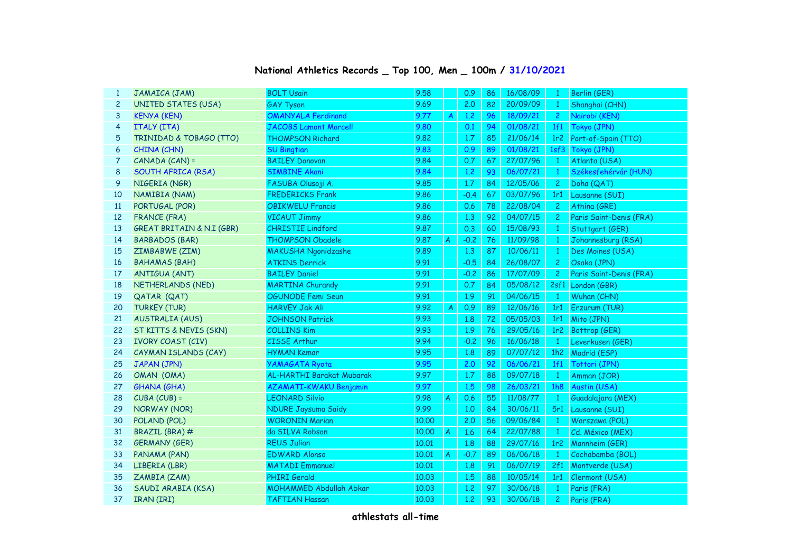## **National Athletics Records \_ Top 100, Men \_ 100m / 31/10/2021**

| $\mathbf{1}$   | JAMAICA (JAM)                        | <b>BOLT Usain</b>                            | 9.58  |                | 0.9           | 86 | 16/08/09 | $\mathbf{1}$                 | Berlin (GER)                          |
|----------------|--------------------------------------|----------------------------------------------|-------|----------------|---------------|----|----------|------------------------------|---------------------------------------|
| $\overline{c}$ | <b>UNITED STATES (USA)</b>           | <b>GAY Tyson</b>                             | 9.69  |                | 2.0           | 82 | 20/09/09 | $\mathbf{1}$                 | Shanghai (CHN)                        |
| 3              | <b>KENYA (KEN)</b>                   | <b>OMANYALA Ferdinand</b>                    | 9.77  | A              | 1.2           | 96 | 18/09/21 | $\mathbf{2}$                 | Nairobi (KEN)                         |
| 4              | <b>ITALY (ITA)</b>                   | JACOBS Lamont Marcell                        | 9.80  |                | 0.1           | 94 | 01/08/21 | 1f1                          | Tokyo (JPN)                           |
| 5              | TRINIDAD & TOBAGO (TTO)              | <b>THOMPSON Richard</b>                      | 9.82  |                | 1.7           | 85 | 21/06/14 | 1r <sub>2</sub>              | Port-of-Spain (TTO)                   |
| 6              | CHINA (CHN)                          | <b>SU Bingtian</b>                           | 9.83  |                | 0.9           | 89 | 01/08/21 | 1sf3                         | Tokyo (JPN)                           |
| 7              | CANADA (CAN) =                       | <b>BAILEY Donovan</b>                        | 9.84  |                | 0.7           | 67 | 27/07/96 |                              |                                       |
| 8              | <b>SOUTH AFRICA (RSA)</b>            | <b>SIMBINE Akani</b>                         | 9.84  |                | 1.2           | 93 | 06/07/21 | $\mathbf{1}$<br>$\mathbf{1}$ | Atlanta (USA)<br>Székesfehérvár (HUN) |
| 9              |                                      |                                              | 9.85  |                |               | 84 | 12/05/06 |                              |                                       |
| 10             | NIGERIA (NGR)<br>NAMIBIA (NAM)       | FASUBA Olusoji A.<br><b>FREDERICKS Frank</b> | 9.86  |                | 1.7<br>$-0.4$ | 67 | 03/07/96 | $\overline{c}$<br>1r1        | Doha (QAT)                            |
|                |                                      |                                              |       |                |               |    |          |                              | Lausanne (SUI)                        |
| <b>11</b>      | PORTUGAL (POR)                       | <b>OBIKWELU Francis</b>                      | 9.86  |                | 0.6           | 78 | 22/08/04 | $\overline{c}$               | Athína (GRE)                          |
| 12             | <b>FRANCE (FRA)</b>                  | <b>VICAUT Jimmy</b>                          | 9.86  |                | 1,3           | 92 | 04/07/15 | $\overline{c}$               | Paris Saint-Denis (FRA)               |
| 13             | <b>GREAT BRITAIN &amp; N.I (GBR)</b> | <b>CHRISTIE Lindford</b>                     | 9.87  |                | 0.3           | 60 | 15/08/93 | $\mathbf{1}$                 | Stuttgart (GER)                       |
| 14             | <b>BARBADOS (BAR)</b>                | <b>THOMPSON Obadele</b>                      | 9.87  | A              | $-0.2$        | 76 | 11/09/98 | $\mathbf{1}$                 | Johannesburg (RSA)                    |
| 15             | ZIMBABWE (ZIM)                       | <b>MAKUSHA Ngonidzashe</b>                   | 9.89  |                | 1.3           | 87 | 10/06/11 | $\mathbf{1}$                 | Des Moines (USA)                      |
| 16             | <b>BAHAMAS (BAH)</b>                 | <b>ATKINS Derrick</b>                        | 9.91  |                | $-0.5$        | 84 | 26/08/07 | $\overline{c}$               | Osaka (JPN)                           |
| 17             | <b>ANTIGUA (ANT)</b>                 | <b>BAILEY Daniel</b>                         | 9.91  |                | $-0.2$        | 86 | 17/07/09 | $\overline{2}$               | Paris Saint-Denis (FRA)               |
| 18             | NETHERLANDS (NED)                    | <b>MARTINA Churandy</b>                      | 9.91  |                | 0.7           | 84 | 05/08/12 |                              | 2sf1 London (GBR)                     |
| 19             | QATAR (QAT)                          | OGUNODE Femi Seun                            | 9.91  |                | 1.9           | 91 | 04/06/15 | $\mathbf{1}$                 | Wuhan (CHN)                           |
| 20             | <b>TURKEY (TUR)</b>                  | <b>HARVEY Jak Ali</b>                        | 9.92  | $\overline{A}$ | 0.9           | 89 | 12/06/16 | 1r1                          | Erzurum (TUR)                         |
| 21             | <b>AUSTRALIA (AUS)</b>               | <b>JOHNSON Patrick</b>                       | 9.93  |                | 1.8           | 72 | 05/05/03 | 1r1                          | Mito (JPN)                            |
| 22             | ST KITTS & NEVIS (SKN)               | <b>COLLINS Kim</b>                           | 9.93  |                | 1.9           | 76 | 29/05/16 | 1r <sub>2</sub>              | Bottrop (GER)                         |
| 23             | <b>IVORY COAST (CIV)</b>             | <b>CISSE Arthur</b>                          | 9.94  |                | $-0.2$        | 96 | 16/06/18 | $\mathbf{1}$                 | Leverkusen (GER)                      |
| 24             | CAYMAN ISLANDS (CAY)                 | <b>HYMAN Kemar</b>                           | 9.95  |                | 1.8           | 89 | 07/07/12 | 1h2                          | Madrid (ESP)                          |
| 25             | JAPAN (JPN)                          | <b>YAMAGATA Ryota</b>                        | 9.95  |                | 2.0           | 92 | 06/06/21 | 1f1                          | Tottori (JPN)                         |
| 26             | OMAN (OMA)                           | AL-HARTHI Barakat Mubarak                    | 9.97  |                | 1.7           | 88 | 09/07/18 | $\overline{1}$               | Amman (JOR)                           |
| 27             | <b>GHANA (GHA)</b>                   | AZAMATI-KWAKU Benjamin                       | 9.97  |                | 1.5           | 98 | 26/03/21 | 1h8                          | Austin (USA)                          |
| 28             | $CUBA (CUB) =$                       | <b>LEONARD Silvio</b>                        | 9.98  | A              | 0.6           | 55 | 11/08/77 | $\mathbf{1}$                 | Guadalajara (MEX)                     |
| 29             | NORWAY (NOR)                         | <b>NDURE Jaysuma Saidy</b>                   | 9.99  |                | 1,0           | 84 | 30/06/11 | 5r1                          | Lausanne (SUI)                        |
| 30             | POLAND (POL)                         | <b>WORONIN Marian</b>                        | 10.00 |                | 2.0           | 56 | 09/06/84 | $\mathbf{1}$                 | Warszawa (POL)                        |
| 31             | BRAZIL (BRA) #                       | da SILVA Robson                              | 10.00 | $\overline{A}$ | 1.6           | 64 | 22/07/88 | $\mathbf{1}$                 | Cd. México (MEX)                      |
| 32             | <b>GERMANY (GER)</b>                 | <b>REUS Julian</b>                           | 10.01 |                | 1.8           | 88 | 29/07/16 | 1r2                          | Mannheim (GER)                        |
| 33             | PANAMA (PAN)                         | <b>EDWARD Alonso</b>                         | 10,01 | A              | $-0.7$        | 89 | 06/06/18 | $\mathbf{1}$                 | Cochabamba (BOL)                      |
| 34             | LIBERIA (LBR)                        | <b>MATADI Emmanuel</b>                       | 10.01 |                | 1.8           | 91 | 06/07/19 | 2f1                          | Montverde (USA)                       |
| 35             | ZAMBIA (ZAM)                         | PHIRI Gerald                                 | 10.03 |                | 1.5           | 88 | 10/05/14 | 1r1                          | Clermont (USA)                        |
| 36             | SAUDI ARABIA (KSA)                   | <b>MOHAMMED Abdullah Abkar</b>               | 10.03 |                | 1.2           | 97 | 30/06/18 | $\mathbf{1}$                 | Paris (FRA)                           |
| 37             | IRAN (IRI)                           | <b>TAFTIAN Hassan</b>                        | 10.03 |                | 1.2           | 93 | 30/06/18 | $\overline{c}$               | Paris (FRA)                           |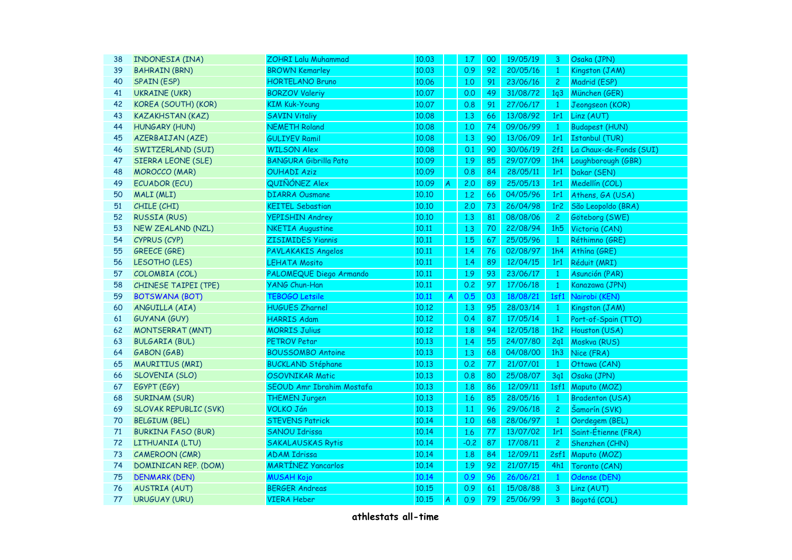| 38 | <b>INDONESIA (INA)</b>       | <b>ZOHRI Lalu Muhammad</b>   | 10.03 |                | 1.7    | 00 | 19/05/19 | 3                 | Osaka (JPN)             |
|----|------------------------------|------------------------------|-------|----------------|--------|----|----------|-------------------|-------------------------|
| 39 | <b>BAHRAIN (BRN)</b>         | <b>BROWN Kemarley</b>        | 10.03 |                | 0.9    | 92 | 20/05/16 | $\mathbf{1}$      | Kingston (JAM)          |
| 40 | <b>SPAIN (ESP)</b>           | <b>HORTELANO Bruno</b>       | 10.06 |                | 1,0    | 91 | 23/06/16 | $\overline{2}$    | Madrid (ESP)            |
| 41 | <b>UKRAINE (UKR)</b>         | <b>BORZOV Valeriy</b>        | 10.07 |                | 0.0    | 49 | 31/08/72 | 1q3               | München (GER)           |
| 42 | KOREA (SOUTH) (KOR)          | <b>KIM Kuk-Young</b>         | 10.07 |                | 0.8    | 91 | 27/06/17 | $\mathbf{1}$      | Jeongseon (KOR)         |
| 43 | <b>KAZAKHSTAN (KAZ)</b>      | <b>SAVIN Vitaliy</b>         | 10.08 |                | 1.3    | 66 | 13/08/92 | 1r1               | Linz (AUT)              |
| 44 | HUNGARY (HUN)                | <b>NEMETH Roland</b>         | 10.08 |                | 1,0    | 74 | 09/06/99 | $\mathbf{1}$      | <b>Budapest (HUN)</b>   |
| 45 | <b>AZERBAIJAN (AZE)</b>      | <b>GULIYEV Ramil</b>         | 10.08 |                | 1,3    | 90 | 13/06/09 | 1r1               | <b>Istanbul (TUR)</b>   |
| 46 | SWITZERLAND (SUI)            | <b>WILSON Alex</b>           | 10.08 |                | 0.1    | 90 | 30/06/19 | 2f1               | La Chaux-de-Fonds (SUI) |
| 47 | SIERRA LEONE (SLE)           | <b>BANGURA Gibrilla Pato</b> | 10.09 |                | 1.9    | 85 | 29/07/09 | 1h4               | Loughborough (GBR)      |
| 48 | <b>MOROCCO (MAR)</b>         | <b>OUHADI Aziz</b>           | 10.09 |                | 0.8    | 84 | 28/05/11 | 1r1               | Dakar (SEN)             |
| 49 | <b>ECUADOR (ECU)</b>         | QUIÑÓNEZ Alex                | 10.09 | $\overline{A}$ | 2.0    | 89 | 25/05/13 | 1r1               | Medellín (COL)          |
| 50 | MALI (MLI)                   | <b>DIARRA Ousmane</b>        | 10.10 |                | 1,2    | 66 | 04/05/96 | 1r1               | Athens, GA (USA)        |
| 51 | CHILE (CHI)                  | <b>KEITEL Sebastian</b>      | 10.10 |                | 2.0    | 73 | 26/04/98 | 1r <sub>2</sub>   | São Leopoldo (BRA)      |
| 52 | <b>RUSSIA (RUS)</b>          | <b>YEPISHIN Andrey</b>       | 10.10 |                | 1.3    | 81 | 08/08/06 | $\overline{2}$    | Göteborg (SWE)          |
| 53 | <b>NEW ZEALAND (NZL)</b>     | <b>NKETIA Augustine</b>      | 10.11 |                | 1.3    | 70 | 22/08/94 | 1h5               | Victoria (CAN)          |
| 54 | CYPRUS (CYP)                 | <b>ZISIMIDES Yiannis</b>     | 10.11 |                | 1.5    | 67 | 25/05/96 | $\mathbf{1}$      | Réthimno (GRE)          |
| 55 | <b>GREECE (GRE)</b>          | PAVLAKAKIS Angelos           | 10.11 |                | 1.4    | 76 | 02/08/97 | 1h4               | Athína (GRE)            |
| 56 | LESOTHO (LES)                | <b>LEHATA Mosito</b>         | 10.11 |                | 1.4    | 89 | 12/04/15 | 1r1               | Réduit (MRI)            |
| 57 | COLOMBIA (COL)               | PALOMEQUE Diego Armando      | 10.11 |                | 1.9    | 93 | 23/06/17 | $\mathbf{1}$      | Asunción (PAR)          |
| 58 | <b>CHINESE TAIPEI (TPE)</b>  | YANG Chun-Han                | 10.11 |                | 0.2    | 97 | 17/06/18 | $\mathbf{1}$      | Kanazawa (JPN)          |
| 59 | <b>BOTSWANA (BOT)</b>        | <b>TEBOGO Letsile</b>        | 10.11 | A              | 0.5    | 03 | 18/08/21 | 1 <sub>s</sub> f1 | Nairobi (KEN)           |
| 60 | ANGUILLA (AIA)               | <b>HUGUES Zharnel</b>        | 10.12 |                | 1,3    | 95 | 28/03/14 | $\mathbf{1}$      | Kingston (JAM)          |
| 61 | <b>GUYANA (GUY)</b>          | <b>HARRIS Adam</b>           | 10.12 |                | 0.4    | 87 | 17/05/14 | $\mathbf{1}$      | Port-of-Spain (TTO)     |
| 62 | <b>MONTSERRAT (MNT)</b>      | <b>MORRIS Julius</b>         | 10.12 |                | 1.8    | 94 | 12/05/18 | 1h2               | Houston (USA)           |
| 63 | <b>BULGARIA (BUL)</b>        | <b>PETROV Petar</b>          | 10.13 |                | 1.4    | 55 | 24/07/80 | 2q1               | Moskva (RUS)            |
| 64 | GABON (GAB)                  | <b>BOUSSOMBO Antoine</b>     | 10.13 |                | 1,3    | 68 | 04/08/00 | 1h3               | Nice (FRA)              |
| 65 | <b>MAURITIUS (MRI)</b>       | <b>BUCKLAND Stéphane</b>     | 10.13 |                | 0.2    | 77 | 21/07/01 | $\mathbf{1}$      | Ottawa (CAN)            |
| 66 | <b>SLOVENIA (SLO)</b>        | <b>OSOVNIKAR Matic</b>       | 10.13 |                | 0.8    | 80 | 25/08/07 | 3q1               | Osaka (JPN)             |
| 67 | EGYPT (EGY)                  | SEOUD Amr Ibrahim Mostafa    | 10.13 |                | 1.8    | 86 | 12/09/11 | 1 <sub>s</sub> f1 | Maputo (MOZ)            |
| 68 | <b>SURINAM (SUR)</b>         | <b>THEMEN Jurgen</b>         | 10.13 |                | 1.6    | 85 | 28/05/16 | $\mathbf{1}$      | <b>Bradenton (USA)</b>  |
| 69 | <b>SLOVAK REPUBLIC (SVK)</b> | <b>VOLKO Ján</b>             | 10.13 |                | 1.1    | 96 | 29/06/18 | $\overline{c}$    | Šamorín (SVK)           |
| 70 | <b>BELGIUM (BEL)</b>         | <b>STEVENS Patrick</b>       | 10.14 |                | 1,0    | 68 | 28/06/97 | $\mathbf{1}$      | Oordegem (BEL)          |
| 71 | <b>BURKINA FASO (BUR)</b>    | SANOU Idrissa                | 10.14 |                | 1.6    | 77 | 13/07/02 | 1r1               | Saint-Étienne (FRA)     |
| 72 | LITHUANIA (LTU)              | <b>SAKALAUSKAS Rytis</b>     | 10.14 |                | $-0.2$ | 87 | 17/08/11 | $\overline{2}$    | Shenzhen (CHN)          |
| 73 | <b>CAMEROON (CMR)</b>        | <b>ADAM Idrissa</b>          | 10.14 |                | 1.8    | 84 | 12/09/11 | 2sf1              | Maputo (MOZ)            |
| 74 | <b>DOMINICAN REP. (DOM)</b>  | <b>MARTÍNEZ Yancarlos</b>    | 10.14 |                | 1.9    | 92 | 21/07/15 | 4h1               | Toronto (CAN)           |
| 75 | <b>DENMARK (DEN)</b>         | <b>MUSAH Kojo</b>            | 10.14 |                | 0.9    | 96 | 26/06/21 | $\mathbf{1}$      | Odense (DEN)            |
| 76 | <b>AUSTRIA (AUT)</b>         | <b>BERGER Andreas</b>        | 10.15 |                | 0.9    | 61 | 15/08/88 | 3                 | Linz (AUT)              |
| 77 | <b>URUGUAY (URU)</b>         | <b>VIERA Heber</b>           | 10.15 | A              | 0.9    | 79 | 25/06/99 | 3                 | Bogotá (COL)            |